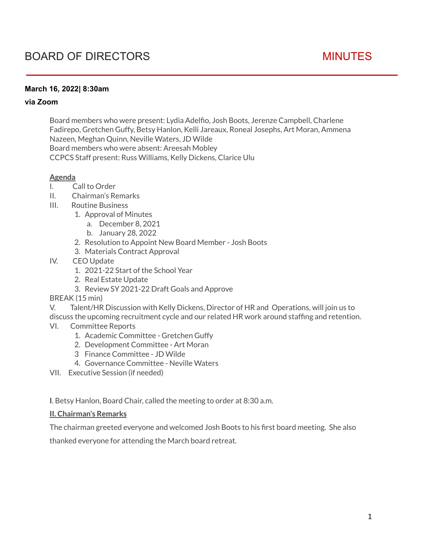# BOARD OF DIRECTORS AND MINUTES

#### **March 16, 2022| 8:30am**

#### **via Zoom**

Board members who were present: Lydia Adelfio, Josh Boots, Jerenze Campbell, Charlene Fadirepo, Gretchen Guffy, Betsy Hanlon, Kelli Jareaux, Roneal Josephs, Art Moran, Ammena Nazeen, Meghan Quinn, Neville Waters, JD Wilde Board members who were absent: Areesah Mobley CCPCS Staff present: Russ Williams, Kelly Dickens, Clarice Ulu

#### **Agenda**

- I. Call to Order
- II. Chairman's Remarks
- III. Routine Business
	- 1. Approval of Minutes
		- a. December 8, 2021
		- b. January 28, 2022
	- 2. Resolution to Appoint New Board Member Josh Boots
	- 3. Materials Contract Approval
- IV. CEO Update
	- 1. 2021-22 Start of the School Year
	- 2. Real Estate Update
	- 3. Review SY 2021-22 Draft Goals and Approve
- BREAK (15 min)

V. Talent/HR Discussion with Kelly Dickens, Director of HR and Operations, will join us to discuss the upcoming recruitment cycle and our related HR work around staffing and retention.

- VI. Committee Reports
	- 1. Academic Committee Gretchen Guffy
	- 2. Development Committee Art Moran
	- 3 Finance Committee JD Wilde
	- 4. Governance Committee Neville Waters
- VII. Executive Session (if needed)

**I**. Betsy Hanlon, Board Chair, called the meeting to order at 8:30 a.m.

#### **II. Chairman's Remarks**

The chairman greeted everyone and welcomed Josh Boots to his first board meeting. She also

thanked everyone for attending the March board retreat.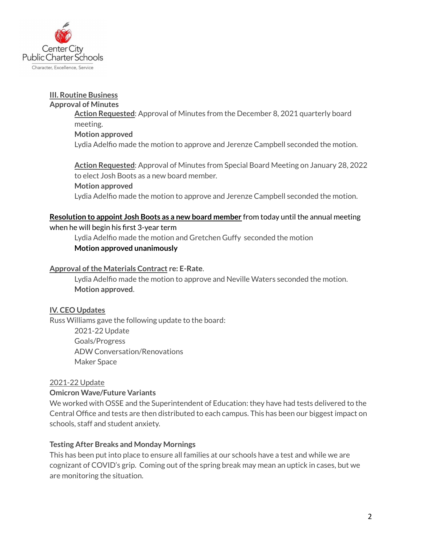

#### **III. Routine Business Approval of Minutes**

**Action Requested**: Approval of Minutes from the December 8, 2021 quarterly board meeting. **Motion approved**

Lydia Adelfio made the motion to approve and Jerenze Campbell seconded the motion.

**Action Requested**: Approval of Minutes from Special Board Meeting on January 28, 2022 to elect Josh Boots as a new board member. **Motion approved** Lydia Adelfio made the motion to approve and Jerenze Campbell seconded the motion.

#### **Resolution to appoint Josh Boots as a new board member** from today until the annual meeting

#### when he will begin his first 3-year term

Lydia Adelfio made the motion and Gretchen Guffy seconded the motion **Motion approved unanimously**

#### **Approval ofthe Materials Contract re: E-Rate**.

Lydia Adelfio made the motion to approve and Neville Waters seconded the motion. **Motion approved**.

# **IV. CEO Updates**

Russ Williams gave the following update to the board: 2021-22 Update Goals/Progress ADW Conversation/Renovations Maker Space

#### 2021-22 Update

#### **Omicron Wave/Future Variants**

We worked with OSSE and the Superintendent of Education: they have had tests delivered to the Central Office and tests are then distributed to each campus. This has been our biggest impact on schools, staff and student anxiety.

#### **Testing After Breaks and Monday Mornings**

This has been put into place to ensure all families at our schools have a test and while we are cognizant of COVID's grip. Coming out of the spring break may mean an uptick in cases, but we are monitoring the situation.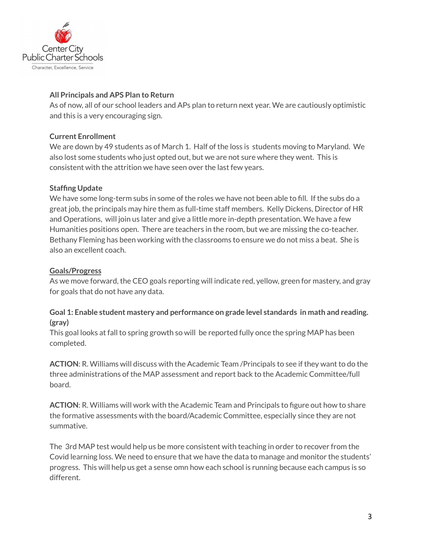

#### **All Principals and APS Plan to Return**

As of now, all of our school leaders and APs plan to return next year. We are cautiously optimistic and this is a very encouraging sign.

#### **Current Enrollment**

We are down by 49 students as of March 1. Half of the loss is students moving to Maryland. We also lost some students who just opted out, but we are not sure where they went. This is consistent with the attrition we have seen over the last few years.

# **Staffing Update**

We have some long-term subs in some of the roles we have not been able to fill. If the subs do a great job, the principals may hire them as full-time staff members. Kelly Dickens, Director of HR and Operations, will join us later and give a little more in-depth presentation. We have a few Humanities positions open. There are teachers in the room, but we are missing the co-teacher. Bethany Fleming has been working with the classrooms to ensure we do not miss a beat. She is also an excellent coach.

# **Goals/Progress**

As we move forward, the CEO goals reporting will indicate red, yellow, green for mastery, and gray for goals that do not have any data.

#### **Goal 1: Enable student mastery and performance on grade level standards in math and reading. (gray)**

This goal looks at fall to spring growth so will be reported fully once the spring MAP has been completed.

**ACTION**: R. Williams will discuss with the Academic Team /Principals to see if they want to do the three administrations of the MAP assessment and report back to the Academic Committee/full board.

**ACTION**: R. Williams will work with the Academic Team and Principals to figure out how to share the formative assessments with the board/Academic Committee, especially since they are not summative.

The 3rd MAP test would help us be more consistent with teaching in order to recover from the Covid learning loss. We need to ensure that we have the data to manage and monitor the students' progress. This will help us get a sense omn how each school is running because each campus is so different.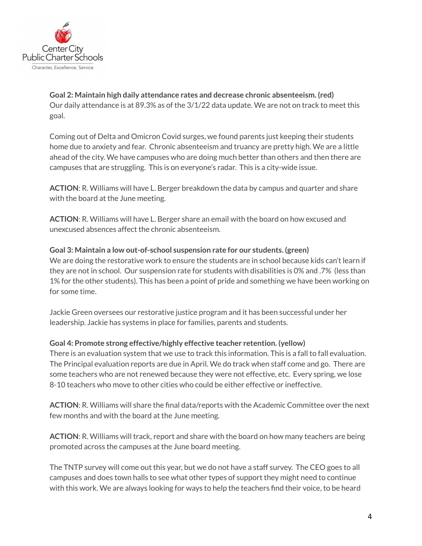

**Goal 2: Maintain high daily attendance rates and decrease chronic absenteeism. (red)** Our daily attendance is at 89.3% as of the 3/1/22 data update. We are not on track to meet this goal.

Coming out of Delta and Omicron Covid surges, we found parents just keeping their students home due to anxiety and fear. Chronic absenteeism and truancy are pretty high. We are a little ahead of the city. We have campuses who are doing much better than others and then there are campuses that are struggling. This is on everyone's radar. This is a city-wide issue.

**ACTION**: R. Williams will have L. Berger breakdown the data by campus and quarter and share with the board at the June meeting.

**ACTION**: R. Williams will have L. Berger share an email with the board on how excused and unexcused absences affect the chronic absenteeism.

**Goal 3: Maintain a low out-of-school suspension rate for our students. (green)** We are doing the restorative work to ensure the students are in school because kids can't learn if they are not in school. Our suspension rate for students with disabilities is 0% and .7% (less than 1% for the other students). This has been a point of pride and something we have been working on for some time.

Jackie Green oversees our restorative justice program and it has been successful under her leadership. Jackie has systems in place for families, parents and students.

#### **Goal 4: Promote strong effective/highly effective teacher retention. (yellow)**

There is an evaluation system that we use to track this information. This is a fall to fall evaluation. The Principal evaluation reports are due in April. We do track when staff come and go. There are some teachers who are not renewed because they were not effective, etc. Every spring, we lose 8-10 teachers who move to other cities who could be either effective or ineffective.

**ACTION**: R. Williams will share the final data/reports with the Academic Committee over the next few months and with the board at the June meeting.

**ACTION**: R. Williams will track, report and share with the board on how many teachers are being promoted across the campuses at the June board meeting.

The TNTP survey will come out this year, but we do not have a staff survey. The CEO goes to all campuses and does town halls to see what other types of support they might need to continue with this work. We are always looking for ways to help the teachers find their voice, to be heard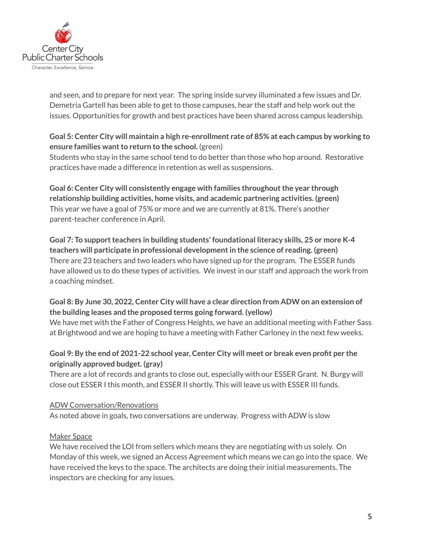

and seen, and to prepare for next year. The spring inside survey illuminated a few issues and Dr. Demetria Gartell has been able to get to those campuses, hear the staff and help work out the issues. Opportunities for growth and best practices have been shared across campus leadership.

# **Goal 5: Center City will maintain a high re-enrollment rate of 85% at each campus by working to ensure families want to return to the school.** (green)

Students who stay in the same school tend to do better than those who hop around. Restorative practices have made a difference in retention as well as suspensions.

**Goal 6: Center City will consistently engage with families throughoutthe year through relationship building activities, home visits, and academic partnering activities. (green)** This year we have a goal of 75% or more and we are currently at 81%. There's another parent-teacher conference in April.

**Goal 7: To supportteachers in building students' foundational literacy skills, 25 or more K-4 teachers will participate in professional developmentin the science of reading. (green)** There are 23 teachers and two leaders who have signed up for the program. The ESSER funds have allowed us to do these types of activities. We invest in our staff and approach the work from a coaching mindset.

# Goal 8: By June 30, 2022, Center City will have a clear direction from ADW on an extension of **the building leases and the proposed terms going forward. (yellow)**

We have met with the Father of Congress Heights, we have an additional meeting with Father Sass at Brightwood and we are hoping to have a meeting with Father Carloney in the next few weeks.

# Goal 9: By the end of 2021-22 school year, Center City will meet or break even profit per the **originally approved budget. (gray)**

There are a lot of records and grants to close out, especially with our ESSER Grant. N. Burgy will close out ESSER I this month, and ESSER II shortly. This will leave us with ESSER III funds.

# ADW Conversation/Renovations

As noted above in goals, two conversations are underway. Progress with ADW is slow

#### Maker Space

We have received the LOI from sellers which means they are negotiating with us solely. On Monday of this week, we signed an Access Agreement which means we can go into the space. We have received the keys to the space. The architects are doing their initial measurements. The inspectors are checking for any issues.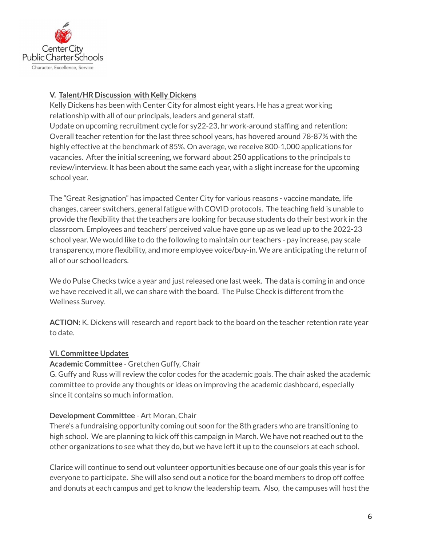

# **V. Talent/HR Discussion with Kelly Dickens**

Kelly Dickens has been with Center City for almost eight years. He has a great working relationship with all of our principals, leaders and general staff. Update on upcoming recruitment cycle for sy22-23, hr work-around staffing and retention: Overall teacher retention for the last three school years, has hovered around 78-87% with the highly effective at the benchmark of 85%. On average, we receive 800-1,000 applications for vacancies. After the initial screening, we forward about 250 applications to the principals to review/interview. It has been about the same each year, with a slight increase for the upcoming school year.

The "Great Resignation" has impacted Center City for various reasons - vaccine mandate, life changes, career switchers, general fatigue with COVID protocols. The teaching field is unable to provide the flexibility that the teachers are looking for because students do their best work in the classroom. Employees and teachers' perceived value have gone up as we lead up to the 2022-23 school year. We would like to do the following to maintain our teachers - pay increase, pay scale transparency, more flexibility, and more employee voice/buy-in. We are anticipating the return of all of our school leaders.

We do Pulse Checks twice a year and just released one last week. The data is coming in and once we have received it all, we can share with the board. The Pulse Check is different from the Wellness Survey.

**ACTION:** K. Dickens will research and report back to the board on the teacher retention rate year to date.

# **VI. Committee Updates**

# **Academic Committee** - Gretchen Guffy, Chair

G. Guffy and Russ will review the color codes for the academic goals. The chair asked the academic committee to provide any thoughts or ideas on improving the academic dashboard, especially since it contains so much information.

# **Development Committee** - Art Moran, Chair

There's a fundraising opportunity coming out soon for the 8th graders who are transitioning to high school. We are planning to kick off this campaign in March. We have not reached out to the other organizations to see what they do, but we have left it up to the counselors at each school.

Clarice will continue to send out volunteer opportunities because one of our goals this year is for everyone to participate. She will also send out a notice for the board members to drop off coffee and donuts at each campus and get to know the leadership team. Also, the campuses will host the